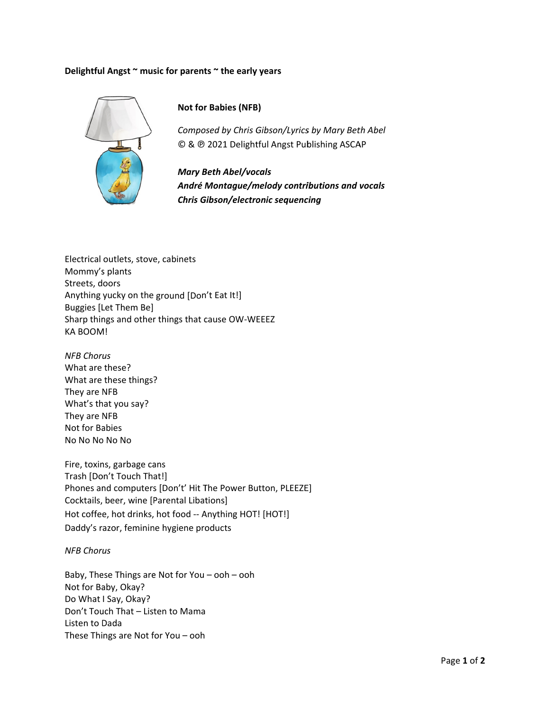## Delightful Angst ~ music for parents ~ the early years



## **Not for Babies (NFB)**

Composed by Chris Gibson/Lyrics by Mary Beth Abel © & @ 2021 Delightful Angst Publishing ASCAP

**Mary Beth Abel/vocals** André Montague/melody contributions and vocals **Chris Gibson/electronic sequencing** 

Electrical outlets, stove, cabinets Mommy's plants Streets, doors Anything yucky on the ground [Don't Eat It!] **Buggies [Let Them Be]** Sharp things and other things that cause OW-WEEEZ KA BOOM!

**NFB Chorus** What are these? What are these things? They are NFB What's that you say? They are NFB Not for Babies No No No No No

Fire, toxins, garbage cans Trash [Don't Touch That!] Phones and computers [Don't' Hit The Power Button, PLEEZE] Cocktails, beer, wine [Parental Libations] Hot coffee, hot drinks, hot food -- Anything HOT! [HOT!] Daddy's razor, feminine hygiene products

## **NFB Chorus**

Baby, These Things are Not for You - ooh - ooh Not for Baby, Okay? Do What I Say, Okay? Don't Touch That - Listen to Mama Listen to Dada These Things are Not for You - ooh